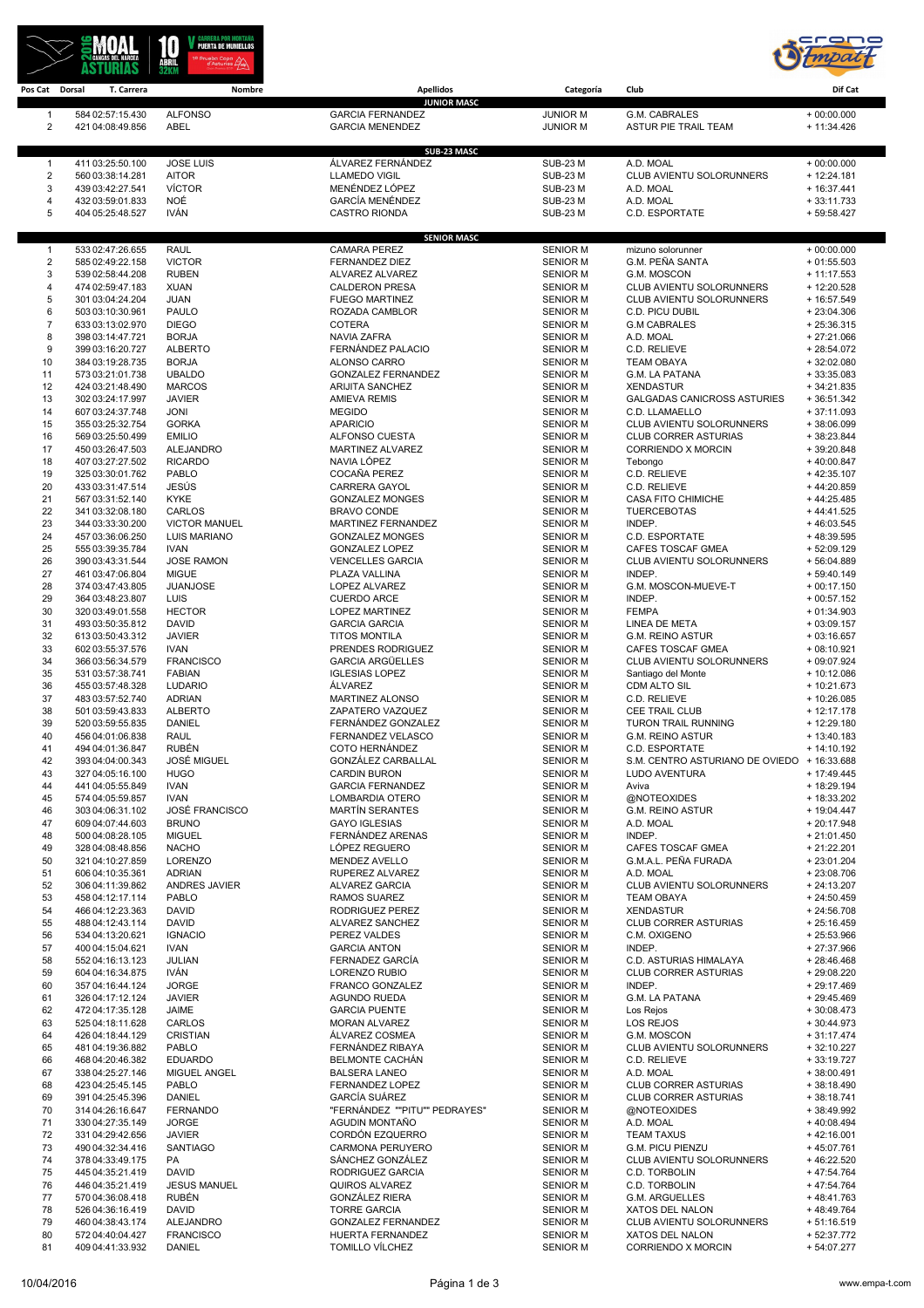



| Pos Cat Dorsal      | T. Carrera                           | Nombre                          | <b>Apellidos</b>                                | Categoría                          | Club                                                       | Dif Cat                       |
|---------------------|--------------------------------------|---------------------------------|-------------------------------------------------|------------------------------------|------------------------------------------------------------|-------------------------------|
| $\overline{1}$      | 584 02:57:15.430                     | <b>ALFONSO</b>                  | <b>JUNIOR MASC</b><br><b>GARCIA FERNANDEZ</b>   | <b>JUNIOR M</b>                    | G.M. CABRALES                                              | $+00:00.000$                  |
| 2                   | 421 04:08:49.856                     | ABEL                            | <b>GARCIA MENENDEZ</b>                          | <b>JUNIOR M</b>                    | <b>ASTUR PIE TRAIL TEAM</b>                                | $+ 11:34.426$                 |
|                     |                                      |                                 |                                                 |                                    |                                                            |                               |
|                     |                                      |                                 | SUB-23 MASC                                     |                                    |                                                            |                               |
| $\overline{1}$      | 411 03:25:50.100                     | <b>JOSE LUIS</b>                | ÁLVAREZ FERNÁNDEZ                               | <b>SUB-23 M</b>                    | A.D. MOAL                                                  | $+00:00.000$                  |
| $\overline{c}$<br>3 | 560 03:38:14.281<br>439 03:42:27.541 | <b>AITOR</b><br><b>VÍCTOR</b>   | <b>LLAMEDO VIGIL</b><br>MENÉNDEZ LÓPEZ          | <b>SUB-23 M</b><br><b>SUB-23 M</b> | CLUB AVIENTU SOLORUNNERS<br>A.D. MOAL                      | $+ 12:24.181$<br>$+16:37.441$ |
| 4                   | 432 03:59:01.833                     | NOÉ                             | <b>GARCÍA MENÉNDEZ</b>                          | <b>SUB-23 M</b>                    | A.D. MOAL                                                  | $+33:11.733$                  |
| 5                   | 404 05:25:48.527                     | <b>IVÁN</b>                     | <b>CASTRO RIONDA</b>                            | <b>SUB-23 M</b>                    | C.D. ESPORTATE                                             | + 59:58.427                   |
|                     |                                      |                                 |                                                 |                                    |                                                            |                               |
| $\mathbf{1}$        | 533 02:47:26.655                     | <b>RAUL</b>                     | <b>SENIOR MASC</b><br><b>CAMARA PEREZ</b>       | <b>SENIOR M</b>                    | mizuno solorunner                                          | $+00:00.000$                  |
| 2                   | 585 02:49:22.158                     | <b>VICTOR</b>                   | <b>FERNANDEZ DIEZ</b>                           | <b>SENIOR M</b>                    | G.M. PEÑA SANTA                                            | $+01:55.503$                  |
| 3                   | 539 02:58:44.208                     | <b>RUBEN</b>                    | ALVAREZ ALVAREZ                                 | <b>SENIOR M</b>                    | G.M. MOSCON                                                | $+11:17.553$                  |
| 4                   | 474 02:59:47.183                     | <b>XUAN</b>                     | <b>CALDERON PRESA</b>                           | <b>SENIOR M</b>                    | CLUB AVIENTU SOLORUNNERS                                   | $+12:20.528$                  |
| 5                   | 301 03:04:24.204                     | <b>JUAN</b>                     | <b>FUEGO MARTINEZ</b>                           | <b>SENIOR M</b>                    | CLUB AVIENTU SOLORUNNERS                                   | + 16:57.549                   |
| 6<br>$\overline{7}$ | 503 03:10:30.961<br>633 03:13:02.970 | <b>PAULO</b><br><b>DIEGO</b>    | ROZADA CAMBLOR<br><b>COTERA</b>                 | <b>SENIOR M</b><br><b>SENIOR M</b> | C.D. PICU DUBIL<br><b>G.M CABRALES</b>                     | $+23:04.306$<br>$+25:36.315$  |
| 8                   | 398 03:14:47.721                     | <b>BORJA</b>                    | NAVIA ZAFRA                                     | <b>SENIOR M</b>                    | A.D. MOAL                                                  | $+27:21.066$                  |
| 9                   | 399 03:16:20.727                     | <b>ALBERTO</b>                  | FERNÁNDEZ PALACIO                               | <b>SENIOR M</b>                    | C.D. RELIEVE                                               | $+28:54.072$                  |
| 10                  | 384 03:19:28.735                     | <b>BORJA</b>                    | ALONSO CARRO                                    | <b>SENIOR M</b>                    | <b>TEAM OBAYA</b>                                          | $+32:02.080$                  |
| 11                  | 573 03:21:01.738                     | <b>UBALDO</b>                   | <b>GONZALEZ FERNANDEZ</b>                       | <b>SENIOR M</b>                    | G.M. LA PATANA                                             | $+33:35.083$                  |
| 12<br>13            | 424 03:21:48.490<br>302 03:24:17.997 | <b>MARCOS</b><br><b>JAVIER</b>  | <b>ARIJITA SANCHEZ</b><br><b>AMIEVA REMIS</b>   | <b>SENIOR M</b><br><b>SENIOR M</b> | <b>XENDASTUR</b><br><b>GALGADAS CANICROSS ASTURIES</b>     | $+34:21.835$<br>$+36:51.342$  |
| 14                  | 607 03:24:37.748                     | <b>JONI</b>                     | <b>MEGIDO</b>                                   | <b>SENIOR M</b>                    | C.D. LLAMAELLO                                             | $+37:11.093$                  |
| 15                  | 355 03:25:32.754                     | <b>GORKA</b>                    | <b>APARICIO</b>                                 | <b>SENIOR M</b>                    | CLUB AVIENTU SOLORUNNERS                                   | $+38:06.099$                  |
| 16                  | 569 03:25:50.499                     | <b>EMILIO</b>                   | ALFONSO CUESTA                                  | <b>SENIOR M</b>                    | <b>CLUB CORRER ASTURIAS</b>                                | + 38:23.844                   |
| 17                  | 450 03:26:47.503                     | <b>ALEJANDRO</b>                | MARTINEZ ALVAREZ                                | <b>SENIOR M</b>                    | <b>CORRIENDO X MORCIN</b>                                  | + 39:20.848                   |
| 18<br>19            | 407 03:27:27.502<br>325 03:30:01.762 | <b>RICARDO</b><br><b>PABLO</b>  | NAVIA LÓPEZ<br>COCAÑA PEREZ                     | <b>SENIOR M</b><br><b>SENIOR M</b> | Tebongo<br>C.D. RELIEVE                                    | $+40:00.847$<br>$+42:35.107$  |
| 20                  | 433 03:31:47.514                     | JESÚS                           | <b>CARRERA GAYOL</b>                            | <b>SENIOR M</b>                    | C.D. RELIEVE                                               | +44:20.859                    |
| 21                  | 567 03:31:52.140                     | <b>KYKE</b>                     | <b>GONZALEZ MONGES</b>                          | <b>SENIOR M</b>                    | <b>CASA FITO CHIMICHE</b>                                  | $+44:25.485$                  |
| 22                  | 341 03:32:08.180                     | CARLOS                          | <b>BRAVO CONDE</b>                              | <b>SENIOR M</b>                    | <b>TUERCEBOTAS</b>                                         | $+44:41.525$                  |
| 23                  | 344 03:33:30.200                     | <b>VICTOR MANUEL</b>            | MARTINEZ FERNANDEZ                              | <b>SENIOR M</b>                    | INDEP.                                                     | $+46:03.545$                  |
| 24<br>25            | 457 03:36:06.250<br>555 03:39:35.784 | LUIS MARIANO<br><b>IVAN</b>     | <b>GONZALEZ MONGES</b><br><b>GONZALEZ LOPEZ</b> | <b>SENIOR M</b><br><b>SENIOR M</b> | C.D. ESPORTATE<br>CAFES TOSCAF GMEA                        | +48:39.595<br>$+52:09.129$    |
| 26                  | 390 03:43:31.544                     | <b>JOSE RAMON</b>               | <b>VENCELLES GARCIA</b>                         | <b>SENIOR M</b>                    | CLUB AVIENTU SOLORUNNERS                                   | + 56:04.889                   |
| 27                  | 461 03:47:06.804                     | <b>MIGUE</b>                    | PLAZA VALLINA                                   | <b>SENIOR M</b>                    | INDEP.                                                     | $+59:40.149$                  |
| 28                  | 374 03:47:43.805                     | <b>JUANJOSE</b>                 | LOPEZ ALVAREZ                                   | <b>SENIOR M</b>                    | G.M. MOSCON-MUEVE-T                                        | $+00:17.150$                  |
| 29                  | 364 03:48:23.807                     | LUIS                            | <b>CUERDO ARCE</b>                              | <b>SENIOR M</b>                    | INDEP.                                                     | $+00:57.152$                  |
| 30<br>31            | 320 03:49:01.558                     | <b>HECTOR</b><br><b>DAVID</b>   | <b>LOPEZ MARTINEZ</b><br><b>GARCIA GARCIA</b>   | <b>SENIOR M</b>                    | <b>FEMPA</b><br>LINEA DE META                              | $+01:34.903$                  |
| 32                  | 493 03:50:35.812<br>613 03:50:43.312 | <b>JAVIER</b>                   | <b>TITOS MONTILA</b>                            | <b>SENIOR M</b><br><b>SENIOR M</b> | <b>G.M. REINO ASTUR</b>                                    | $+03:09.157$<br>$+03:16.657$  |
| 33                  | 602 03:55:37.576                     | <b>IVAN</b>                     | PRENDES RODRIGUEZ                               | <b>SENIOR M</b>                    | CAFES TOSCAF GMEA                                          | $+08:10.921$                  |
| 34                  | 366 03:56:34.579                     | <b>FRANCISCO</b>                | <b>GARCIA ARGÜELLES</b>                         | <b>SENIOR M</b>                    | CLUB AVIENTU SOLORUNNERS                                   | + 09:07.924                   |
| 35                  | 531 03:57:38.741                     | <b>FABIAN</b>                   | <b>IGLESIAS LOPEZ</b>                           | <b>SENIOR M</b>                    | Santiago del Monte                                         | + 10:12.086                   |
| 36                  | 455 03:57:48.328                     | <b>LUDARIO</b>                  | ÁLVAREZ                                         | <b>SENIOR M</b>                    | CDM ALTO SIL                                               | + 10:21.673                   |
| 37<br>38            | 483 03:57:52.740<br>501 03:59:43.833 | <b>ADRIAN</b><br><b>ALBERTO</b> | MARTINEZ ALONSO<br>ZAPATERO VAZQUEZ             | <b>SENIOR M</b><br><b>SENIOR M</b> | C.D. RELIEVE<br>CEE TRAIL CLUB                             | + 10:26.085<br>$+12:17.178$   |
| 39                  | 520 03:59:55.835                     | <b>DANIEL</b>                   | FERNÁNDEZ GONZALEZ                              | <b>SENIOR M</b>                    | <b>TURON TRAIL RUNNING</b>                                 | + 12:29.180                   |
| 40                  | 456 04:01:06.838                     | <b>RAUL</b>                     | FERNANDEZ VELASCO                               | <b>SENIOR M</b>                    | <b>G.M. REINO ASTUR</b>                                    | $+13:40.183$                  |
| 41                  | 494 04:01:36.847                     | <b>RUBÉN</b>                    | COTO HERNÁNDEZ                                  | <b>SENIOR M</b>                    | C.D. ESPORTATE                                             | $+14:10.192$                  |
| 42                  | 393 04:04:00.343                     | <b>JOSÉ MIGUEL</b>              | GONZÁLEZ CARBALLAL                              | <b>SENIOR M</b>                    | S.M. CENTRO ASTURIANO DE OVIEDO + 16:33.688                |                               |
| 43<br>44            | 327 04:05:16.100<br>441 04:05:55.849 | <b>HUGO</b><br><b>IVAN</b>      | <b>CARDIN BURON</b><br><b>GARCIA FERNANDEZ</b>  | <b>SENIOR M</b><br><b>SENIOR M</b> | <b>LUDO AVENTURA</b><br>Aviva                              | $+17:49.445$<br>+ 18:29.194   |
| 45                  | 574 04:05:59.857                     | <b>IVAN</b>                     | LOMBARDIA OTERO                                 | <b>SENIOR M</b>                    | @NOTEOXIDES                                                | + 18:33.202                   |
| 46                  | 303 04:06:31.102                     | <b>JOSÉ FRANCISCO</b>           | <b>MARTÍN SERANTES</b>                          | <b>SENIOR M</b>                    | <b>G.M. REINO ASTUR</b>                                    | + 19:04.447                   |
| 47                  | 609 04:07:44.603                     | <b>BRUNO</b>                    | <b>GAYO IGLESIAS</b>                            | <b>SENIOR M</b>                    | A.D. MOAL                                                  | + 20:17.948                   |
| 48                  | 500 04:08:28.105                     | <b>MIGUEL</b>                   | FERNÁNDEZ ARENAS                                | <b>SENIOR M</b>                    | INDEP.                                                     | $+21:01.450$                  |
| 49<br>50            | 328 04:08:48.856<br>321 04:10:27.859 | <b>NACHO</b><br>LORENZO         | LÓPEZ REGUERO<br>MENDEZ AVELLO                  | <b>SENIOR M</b><br><b>SENIOR M</b> | CAFES TOSCAF GMEA<br>G.M.A.L. PEÑA FURADA                  | $+21:22.201$<br>$+23:01.204$  |
| 51                  | 606 04:10:35.361                     | <b>ADRIAN</b>                   | RUPEREZ ALVAREZ                                 | <b>SENIOR M</b>                    | A.D. MOAL                                                  | $+23:08.706$                  |
| 52                  | 306 04:11:39.862                     | ANDRES JAVIER                   | <b>ALVAREZ GARCIA</b>                           | <b>SENIOR M</b>                    | CLUB AVIENTU SOLORUNNERS                                   | $+24:13.207$                  |
| 53                  | 458 04:12:17.114                     | PABLO                           | RAMOS SUAREZ                                    | <b>SENIOR M</b>                    | <b>TEAM OBAYA</b>                                          | $+24:50.459$                  |
| 54                  | 466 04:12:23.363                     | <b>DAVID</b>                    | RODRIGUEZ PEREZ                                 | <b>SENIOR M</b>                    | <b>XENDASTUR</b>                                           | $+24:56.708$                  |
| 55<br>56            | 488 04:12:43.114<br>534 04:13:20.621 | <b>DAVID</b><br><b>IGNACIO</b>  | ALVAREZ SANCHEZ<br>PEREZ VALDES                 | <b>SENIOR M</b><br><b>SENIOR M</b> | <b>CLUB CORRER ASTURIAS</b><br>C.M. OXIGENO                | $+25:16.459$<br>$+25:53.966$  |
| 57                  | 400 04:15:04.621                     | <b>IVAN</b>                     | <b>GARCIA ANTON</b>                             | <b>SENIOR M</b>                    | INDEP.                                                     | $+27:37.966$                  |
| 58                  | 552 04:16:13.123                     | JULIAN                          | FERNADEZ GARCIA                                 | <b>SENIOR M</b>                    | C.D. ASTURIAS HIMALAYA                                     | + 28:46.468                   |
| 59                  | 604 04:16:34.875                     | IVÁN                            | LORENZO RUBIO                                   | <b>SENIOR M</b>                    | <b>CLUB CORRER ASTURIAS</b>                                | + 29:08.220                   |
| 60                  | 357 04:16:44.124                     | <b>JORGE</b>                    | FRANCO GONZALEZ                                 | <b>SENIOR M</b>                    | INDEP.                                                     | $+29:17.469$                  |
| 61                  | 326 04:17:12.124                     | <b>JAVIER</b>                   | <b>AGUNDO RUEDA</b>                             | <b>SENIOR M</b>                    | G.M. LA PATANA                                             | $+29:45.469$                  |
| 62<br>63            | 472 04:17:35.128<br>525 04:18:11.628 | JAIME<br>CARLOS                 | <b>GARCIA PUENTE</b><br>MORAN ALVAREZ           | <b>SENIOR M</b><br><b>SENIOR M</b> | Los Rejos<br><b>LOS REJOS</b>                              | $+30:08.473$<br>$+30:44.973$  |
| 64                  | 426 04:18:44.129                     | <b>CRISTIAN</b>                 | ÁLVAREZ COSMEA                                  | <b>SENIOR M</b>                    | G.M. MOSCON                                                | $+31:17.474$                  |
| 65                  | 481 04:19:36.882                     | PABLO                           | FERNÁNDEZ RIBAYA                                | <b>SENIOR M</b>                    | CLUB AVIENTU SOLORUNNERS                                   | $+32:10.227$                  |
| 66                  | 468 04:20:46.382                     | <b>EDUARDO</b>                  | <b>BELMONTE CACHÁN</b>                          | <b>SENIOR M</b>                    | C.D. RELIEVE                                               | $+33:19.727$                  |
| 67                  | 338 04:25:27.146                     | MIGUEL ANGEL                    | <b>BALSERA LANEO</b>                            | <b>SENIOR M</b>                    | A.D. MOAL                                                  | $+38:00.491$                  |
| 68<br>69            | 423 04:25:45.145<br>391 04:25:45.396 | PABLO<br>DANIEL                 | FERNANDEZ LOPEZ<br>GARCÍA SUÁREZ                | <b>SENIOR M</b><br><b>SENIOR M</b> | <b>CLUB CORRER ASTURIAS</b><br><b>CLUB CORRER ASTURIAS</b> | $+38:18.490$<br>$+38:18.741$  |
| 70                  | 314 04:26:16.647                     | <b>FERNANDO</b>                 | "FERNÁNDEZ ""PITU"" PEDRAYES"                   | <b>SENIOR M</b>                    | @NOTEOXIDES                                                | + 38:49.992                   |
| 71                  | 330 04:27:35.149                     | <b>JORGE</b>                    | AGUDIN MONTAÑO                                  | <b>SENIOR M</b>                    | A.D. MOAL                                                  | $+40:08.494$                  |
| 72                  | 331 04:29:42.656                     | <b>JAVIER</b>                   | CORDÓN EZQUERRO                                 | <b>SENIOR M</b>                    | <b>TEAM TAXUS</b>                                          | $+42:16.001$                  |
| 73                  | 490 04:32:34.416                     | <b>SANTIAGO</b>                 | CARMONA PERUYERO                                | <b>SENIOR M</b>                    | <b>G.M. PICU PIENZU</b>                                    | +45:07.761                    |
| 74                  | 378 04:33:49.175                     | PA                              | SÁNCHEZ GONZÁLEZ                                | <b>SENIOR M</b>                    | CLUB AVIENTU SOLORUNNERS                                   | $+46:22.520$                  |
| 75<br>76            | 445 04:35:21.419<br>446 04:35:21.419 | DAVID<br><b>JESUS MANUEL</b>    | RODRIGUEZ GARCIA<br>QUIROS ALVAREZ              | <b>SENIOR M</b><br><b>SENIOR M</b> | C.D. TORBOLIN<br>C.D. TORBOLIN                             | +47:54.764<br>+47:54.764      |
| 77                  | 570 04:36:08.418                     | <b>RUBÉN</b>                    | <b>GONZÁLEZ RIERA</b>                           | <b>SENIOR M</b>                    | G.M. ARGUELLES                                             | +48:41.763                    |
| 78                  | 526 04:36:16.419                     | <b>DAVID</b>                    | <b>TORRE GARCIA</b>                             | <b>SENIOR M</b>                    | XATOS DEL NALON                                            | +48:49.764                    |
| 79                  | 460 04:38:43.174                     | <b>ALEJANDRO</b>                | <b>GONZALEZ FERNANDEZ</b>                       | <b>SENIOR M</b>                    | CLUB AVIENTU SOLORUNNERS                                   | $+51:16.519$                  |
| 80                  | 572 04:40:04.427                     | <b>FRANCISCO</b>                | HUERTA FERNANDEZ                                | <b>SENIOR M</b>                    | XATOS DEL NALON                                            | + 52:37.772                   |
| 81                  | 409 04:41:33.932                     | <b>DANIEL</b>                   | TOMILLO VÍLCHEZ                                 | <b>SENIOR M</b>                    | CORRIENDO X MORCIN                                         | + 54:07.277                   |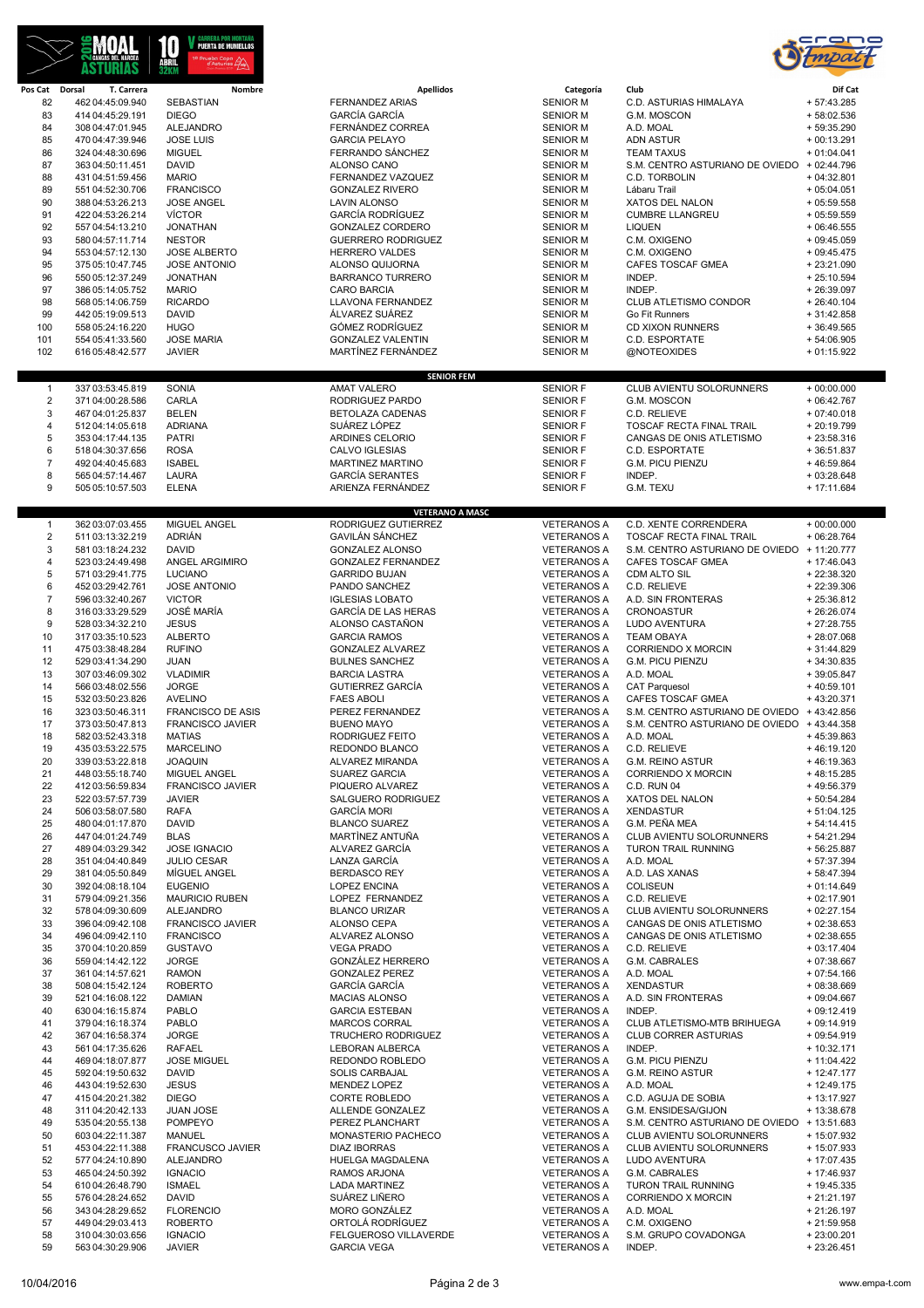



| Pos Cat Dorsal | T. Carrera       | Nombre                             | <b>Apellidos</b>           | Categoría          | Club                                        | Dif Cat       |
|----------------|------------------|------------------------------------|----------------------------|--------------------|---------------------------------------------|---------------|
| 82             | 462 04:45:09.940 | SEBASTIAN                          | <b>FERNANDEZ ARIAS</b>     | <b>SENIOR M</b>    | C.D. ASTURIAS HIMALAYA                      | $+57:43.285$  |
| 83             | 414 04:45:29.191 | <b>DIEGO</b>                       | <b>GARCÍA GARCÍA</b>       | <b>SENIOR M</b>    | G.M. MOSCON                                 | +58:02.536    |
| 84             | 308 04:47:01.945 | <b>ALEJANDRO</b>                   | FERNÁNDEZ CORREA           | <b>SENIOR M</b>    | A.D. MOAL                                   | $+59:35.290$  |
| 85             | 470 04:47:39.946 | <b>JOSE LUIS</b>                   | <b>GARCIA PELAYO</b>       | <b>SENIOR M</b>    | <b>ADN ASTUR</b>                            | $+00:13.291$  |
| 86             | 324 04:48:30.696 | <b>MIGUEL</b>                      | FERRANDO SÁNCHEZ           | <b>SENIOR M</b>    | <b>TEAM TAXUS</b>                           | $+01:04.041$  |
| 87             | 363 04:50:11.451 | <b>DAVID</b>                       | ALONSO CANO                | <b>SENIOR M</b>    | S.M. CENTRO ASTURIANO DE OVIEDO + 02:44.796 |               |
| 88             | 431 04:51:59.456 | <b>MARIO</b>                       | FERNANDEZ VAZQUEZ          | <b>SENIOR M</b>    | C.D. TORBOLIN                               | $+04:32.801$  |
| 89             | 551 04:52:30.706 | <b>FRANCISCO</b>                   | <b>GONZALEZ RIVERO</b>     | <b>SENIOR M</b>    | Lábaru Trail                                | $+05:04.051$  |
|                |                  |                                    |                            |                    |                                             |               |
| 90             | 388 04:53:26.213 | <b>JOSE ANGEL</b>                  | <b>LAVIN ALONSO</b>        | <b>SENIOR M</b>    | XATOS DEL NALON                             | $+05:59.558$  |
| 91             | 422 04:53:26.214 | <b>VÍCTOR</b>                      | <b>GARCÍA RODRÍGUEZ</b>    | <b>SENIOR M</b>    | <b>CUMBRE LLANGREU</b>                      | $+05:59.559$  |
| 92             | 557 04:54:13.210 | <b>JONATHAN</b>                    | GONZALEZ CORDERO           | <b>SENIOR M</b>    | <b>LIQUEN</b>                               | $+06:46.555$  |
| 93             | 580 04:57:11.714 | <b>NESTOR</b>                      | <b>GUERRERO RODRIGUEZ</b>  | <b>SENIOR M</b>    | C.M. OXIGENO                                | $+09:45.059$  |
| 94             | 553 04:57:12.130 | <b>JOSE ALBERTO</b>                | <b>HERRERO VALDES</b>      | <b>SENIOR M</b>    | C.M. OXIGENO                                | $+09:45.475$  |
| 95             | 375 05:10:47.745 | <b>JOSE ANTONIO</b>                | ALONSO QUIJORNA            | <b>SENIOR M</b>    | CAFES TOSCAF GMEA                           | $+23:21.090$  |
| 96             | 550 05:12:37.249 | <b>JONATHAN</b>                    | <b>BARRANCO TURRERO</b>    | <b>SENIOR M</b>    | INDEP.                                      | $+25:10.594$  |
| 97             | 386 05:14:05.752 | <b>MARIO</b>                       | <b>CARO BARCIA</b>         | <b>SENIOR M</b>    | INDEP.                                      | $+26:39.097$  |
| 98             | 568 05:14:06.759 | <b>RICARDO</b>                     | <b>LLAVONA FERNANDEZ</b>   | <b>SENIOR M</b>    | CLUB ATLETISMO CONDOR                       | $+26:40.104$  |
| 99             | 442 05:19:09.513 | <b>DAVID</b>                       | ÁLVAREZ SUÁREZ             | <b>SENIOR M</b>    | Go Fit Runners                              | $+31:42.858$  |
| 100            | 558 05:24:16.220 | <b>HUGO</b>                        | <b>GÓMEZ RODRÍGUEZ</b>     | <b>SENIOR M</b>    | <b>CD XIXON RUNNERS</b>                     | $+36:49.565$  |
| 101            | 554 05:41:33.560 | <b>JOSE MARIA</b>                  | <b>GONZALEZ VALENTIN</b>   | <b>SENIOR M</b>    | C.D. ESPORTATE                              | $+54:06.905$  |
| 102            | 616 05:48:42.577 | <b>JAVIER</b>                      | MARTÍNEZ FERNÁNDEZ         | <b>SENIOR M</b>    | @NOTEOXIDES                                 | $+01:15.922$  |
|                |                  |                                    |                            |                    |                                             |               |
|                |                  |                                    | <b>SENIOR FEM</b>          |                    |                                             |               |
|                | 337 03:53:45.819 | SONIA                              | <b>AMAT VALERO</b>         | <b>SENIOR F</b>    | CLUB AVIENTU SOLORUNNERS                    | $+00:00.000$  |
| $\mathbf{1}$   |                  |                                    |                            |                    |                                             |               |
| $\sqrt{2}$     | 371 04:00:28.586 | CARLA                              | RODRIGUEZ PARDO            | <b>SENIOR F</b>    | G.M. MOSCON                                 | $+06:42.767$  |
| 3              | 467 04:01:25.837 | <b>BELEN</b>                       | BETOLAZA CADENAS           | <b>SENIOR F</b>    | C.D. RELIEVE                                | $+07:40.018$  |
| 4              | 512 04:14:05.618 | <b>ADRIANA</b>                     | SUÁREZ LÓPEZ               | <b>SENIOR F</b>    | TOSCAF RECTA FINAL TRAIL                    | + 20:19.799   |
| 5              | 353 04:17:44.135 | <b>PATRI</b>                       | ARDINES CELORIO            | <b>SENIOR F</b>    | CANGAS DE ONIS ATLETISMO                    | $+23:58.316$  |
| 6              | 518 04:30:37.656 | <b>ROSA</b>                        | CALVO IGLESIAS             | <b>SENIOR F</b>    | C.D. ESPORTATE                              | $+36:51.837$  |
| $\overline{7}$ | 492 04:40:45.683 | <b>ISABEL</b>                      | MARTINEZ MARTINO           | <b>SENIOR F</b>    | <b>G.M. PICU PIENZU</b>                     | +46:59.864    |
| 8              | 565 04:57:14.467 | <b>LAURA</b>                       | <b>GARCÍA SERANTES</b>     | <b>SENIOR F</b>    | INDEP.                                      | $+03:28.648$  |
| 9              | 505 05:10:57.503 | <b>ELENA</b>                       | ARIENZA FERNÁNDEZ          | <b>SENIOR F</b>    | G.M. TEXU                                   | $+17:11.684$  |
|                |                  |                                    |                            |                    |                                             |               |
|                |                  |                                    | <b>VETERANO A MASC</b>     |                    |                                             |               |
| $\mathbf{1}$   | 362 03:07:03.455 | MIGUEL ANGEL                       | RODRIGUEZ GUTIERREZ        | <b>VETERANOS A</b> | C.D. XENTE CORRENDERA                       | $+00:00.000$  |
| 2              | 511 03:13:32.219 | ADRIÁN                             | <b>GAVILÁN SÁNCHEZ</b>     | <b>VETERANOS A</b> | TOSCAF RECTA FINAL TRAIL                    | $+06:28.764$  |
| 3              |                  | <b>DAVID</b>                       | <b>GONZALEZ ALONSO</b>     | <b>VETERANOS A</b> | S.M. CENTRO ASTURIANO DE OVIEDO + 11:20.777 |               |
|                | 581 03:18:24.232 |                                    |                            |                    |                                             |               |
| 4              | 523 03:24:49.498 | <b>ANGEL ARGIMIRO</b>              | <b>GONZALEZ FERNANDEZ</b>  | <b>VETERANOS A</b> | CAFES TOSCAF GMEA                           | $+ 17:46.043$ |
| 5              | 571 03:29:41.775 | <b>LUCIANO</b>                     | <b>GARRIDO BUJAN</b>       | <b>VETERANOS A</b> | <b>CDM ALTO SIL</b>                         | + 22:38.320   |
| 6              | 452 03:29:42.761 | JOSE ANTONIO                       | PANDO SANCHEZ              | <b>VETERANOS A</b> | C.D. RELIEVE                                | $+22:39.306$  |
| $\overline{7}$ | 596 03:32:40.267 | <b>VICTOR</b>                      | <b>IGLESIAS LOBATO</b>     | <b>VETERANOS A</b> | A.D. SIN FRONTERAS                          | $+25:36.812$  |
| 8              | 316 03:33:29.529 | JOSÉ MARÍA                         | <b>GARCÍA DE LAS HERAS</b> | <b>VETERANOS A</b> | CRONOASTUR                                  | $+26:26.074$  |
| 9              | 528 03:34:32.210 | <b>JESUS</b>                       | ALONSO CASTAÑON            | <b>VETERANOS A</b> | LUDO AVENTURA                               | $+27:28.755$  |
| 10             | 317 03:35:10.523 | <b>ALBERTO</b>                     | <b>GARCIA RAMOS</b>        | <b>VETERANOS A</b> | <b>TEAM OBAYA</b>                           | +28:07.068    |
| 11             | 475 03:38:48.284 | <b>RUFINO</b>                      | <b>GONZALEZ ALVAREZ</b>    | <b>VETERANOS A</b> | <b>CORRIENDO X MORCIN</b>                   | $+31:44.829$  |
| 12             | 529 03:41:34.290 | <b>JUAN</b>                        | <b>BULNES SANCHEZ</b>      | <b>VETERANOS A</b> | <b>G.M. PICU PIENZU</b>                     | $+34:30.835$  |
| 13             | 307 03:46:09.302 | <b>VLADIMIR</b>                    | <b>BARCIA LASTRA</b>       | <b>VETERANOS A</b> | A.D. MOAL                                   | $+39:05.847$  |
| 14             | 566 03:48:02.556 | <b>JORGE</b>                       | <b>GUTIERREZ GARCÍA</b>    | <b>VETERANOS A</b> | <b>CAT Parquesol</b>                        | $+40:59.101$  |
|                |                  | <b>AVELINO</b>                     |                            | <b>VETERANOS A</b> | <b>CAFES TOSCAF GMEA</b>                    | $+43:20.371$  |
| 15             | 532 03:50:23.826 |                                    | <b>FAES ABOLI</b>          |                    |                                             |               |
| 16             | 323 03:50:46.311 | <b>FRANCISCO DE ASIS</b>           | PEREZ FERNANDEZ            | <b>VETERANOS A</b> | S.M. CENTRO ASTURIANO DE OVIEDO + 43:42.856 |               |
| 17             | 373 03:50:47.813 | <b>FRANCISCO JAVIER</b>            | <b>BUENO MAYO</b>          | <b>VETERANOS A</b> | S.M. CENTRO ASTURIANO DE OVIEDO + 43:44.358 |               |
| 18             | 582 03:52:43.318 | <b>MATIAS</b>                      | RODRIGUEZ FEITO            | <b>VETERANOS A</b> | A.D. MOAL                                   | $+45:39.863$  |
| 19             | 435 03:53:22.575 | <b>MARCELINO</b>                   | REDONDO BLANCO             | <b>VETERANOS A</b> | C.D. RELIEVE                                | $+46:19.120$  |
| 20             | 339 03:53:22.818 | <b>JOAQUIN</b>                     | ALVAREZ MIRANDA            | <b>VETERANOS A</b> | G.M. REINO ASTUR                            | +46:19.363    |
| 21             | 448 03:55:18.740 | MIGUEL ANGEL                       | <b>SUAREZ GARCIA</b>       | <b>VETERANOS A</b> | CORRIENDO X MORCIN                          | +48:15.285    |
| 22             | 412 03:56:59.834 | FRANCISCO JAVIER                   | PIQUERO ALVAREZ            | <b>VETERANOS A</b> | C.D. RUN 04                                 | +49:56.379    |
| 23             | 522 03:57:57.739 | <b>JAVIER</b>                      | SALGUERO RODRIGUEZ         | <b>VETERANOS A</b> | XATOS DEL NALON                             | + 50:54.284   |
| 24             | 506 03:58:07.580 | <b>RAFA</b>                        | <b>GARCÍA MORI</b>         | <b>VETERANOS A</b> | <b>XENDASTUR</b>                            | $+51:04.125$  |
| 25             | 480 04:01:17.870 | <b>DAVID</b>                       | <b>BLANCO SUAREZ</b>       | <b>VETERANOS A</b> | G.M. PEÑA MEA                               | $+54:14.415$  |
| 26             | 447 04:01:24.749 | <b>BLAS</b>                        | MARTINEZ ANTUÑA            | <b>VETERANOS A</b> | CLUB AVIENTU SOLORUNNERS                    | $+54:21.294$  |
| 27             | 489 04:03:29.342 | <b>JOSE IGNACIO</b>                | ALVAREZ GARCÍA             | <b>VETERANOS A</b> | <b>TURON TRAIL RUNNING</b>                  | + 56:25.887   |
|                |                  |                                    |                            |                    |                                             |               |
| 28             | 351 04:04:40.849 | <b>JULIO CESAR</b>                 | LANZA GARCÍA               | <b>VETERANOS A</b> | A.D. MOAL                                   | $+57:37.394$  |
| 29             | 381 04:05:50.849 | MÍGUEL ANGEL                       | <b>BERDASCO REY</b>        | <b>VETERANOS A</b> | A.D. LAS XANAS                              | $+58:47.394$  |
| 30             | 392 04:08:18.104 | <b>EUGENIO</b>                     | <b>LOPEZ ENCINA</b>        | <b>VETERANOS A</b> | COLISEUN                                    | $+01:14.649$  |
| 31             | 579 04:09:21.356 | <b>MAURICIO RUBEN</b>              | LOPEZ FERNANDEZ            | <b>VETERANOS A</b> | C.D. RELIEVE                                | $+02:17.901$  |
| 32             | 578 04:09:30.609 | ALEJANDRO                          | <b>BLANCO URIZAR</b>       | <b>VETERANOS A</b> | CLUB AVIENTU SOLORUNNERS                    | $+02:27.154$  |
| 33             | 396 04:09:42.108 | <b>FRANCISCO JAVIER</b>            | ALONSO CEPA                | <b>VETERANOS A</b> | CANGAS DE ONIS ATLETISMO                    | $+02:38.653$  |
| 34             | 496 04:09:42.110 | <b>FRANCISCO</b>                   | ALVAREZ ALONSO             | <b>VETERANOS A</b> | CANGAS DE ONIS ATLETISMO                    | $+02:38.655$  |
| 35             | 370 04:10:20.859 | <b>GUSTAVO</b>                     | <b>VEGA PRADO</b>          | <b>VETERANOS A</b> | C.D. RELIEVE                                | $+03:17.404$  |
| 36             | 559 04:14:42.122 | <b>JORGE</b>                       | GONZÁLEZ HERRERO           | <b>VETERANOS A</b> | G.M. CABRALES                               | $+07:38.667$  |
| 37             | 361 04:14:57.621 | <b>RAMON</b>                       | <b>GONZALEZ PEREZ</b>      | <b>VETERANOS A</b> | A.D. MOAL                                   | $+07:54.166$  |
| 38             | 508 04:15:42.124 | <b>ROBERTO</b>                     | <b>GARCÍA GARCÍA</b>       | <b>VETERANOS A</b> | <b>XENDASTUR</b>                            | $+08:38.669$  |
| 39             | 521 04:16:08.122 | <b>DAMIAN</b>                      | MACIAS ALONSO              | <b>VETERANOS A</b> | A.D. SIN FRONTERAS                          | $+09:04.667$  |
| 40             | 630 04:16:15.874 | <b>PABLO</b>                       | <b>GARCIA ESTEBAN</b>      | <b>VETERANOS A</b> | INDEP.                                      | $+09:12.419$  |
|                |                  |                                    |                            |                    | CLUB ATLETISMO-MTB BRIHUEGA                 |               |
| 41             | 379 04:16:18.374 | <b>PABLO</b>                       | MARCOS CORRAL              | <b>VETERANOS A</b> |                                             | $+09:14.919$  |
| 42             | 367 04:16:58.374 | <b>JORGE</b>                       | <b>TRUCHERO RODRIGUEZ</b>  | <b>VETERANOS A</b> | <b>CLUB CORRER ASTURIAS</b>                 | $+09:54.919$  |
| 43             | 561 04:17:35.626 | RAFAEL                             | LEBORAN ALBERCA            | <b>VETERANOS A</b> | INDEP.                                      | $+10:32.171$  |
| 44             | 469 04:18:07.877 | <b>JOSE MIGUEL</b>                 | REDONDO ROBLEDO            | <b>VETERANOS A</b> | G.M. PICU PIENZU                            | + 11:04.422   |
| 45             | 592 04:19:50.632 | <b>DAVID</b>                       | <b>SOLIS CARBAJAL</b>      | <b>VETERANOS A</b> | <b>G.M. REINO ASTUR</b>                     | $+ 12:47.177$ |
| 46             | 443 04:19:52.630 | <b>JESUS</b>                       | MENDEZ LOPEZ               | <b>VETERANOS A</b> | A.D. MOAL                                   | + 12:49.175   |
| 47             | 415 04:20:21.382 | <b>DIEGO</b>                       | CORTE ROBLEDO              | <b>VETERANOS A</b> | C.D. AGUJA DE SOBIA                         | + 13:17.927   |
| 48             | 311 04:20:42.133 | <b>JUAN JOSE</b>                   | ALLENDE GONZALEZ           | <b>VETERANOS A</b> | G.M. ENSIDESA/GIJON                         | + 13:38.678   |
| 49             | 535 04:20:55.138 | <b>POMPEYO</b>                     | PEREZ PLANCHART            | <b>VETERANOS A</b> | S.M. CENTRO ASTURIANO DE OVIEDO + 13:51.683 |               |
| 50             | 603 04:22:11.387 | MANUEL                             | MONASTERIO PACHECO         | <b>VETERANOS A</b> | CLUB AVIENTU SOLORUNNERS                    | + 15:07.932   |
| 51             | 453 04:22:11.388 | FRANCUSCO JAVIER                   | <b>DIAZ IBORRAS</b>        | <b>VETERANOS A</b> | CLUB AVIENTU SOLORUNNERS                    | + 15:07.933   |
|                |                  |                                    |                            |                    |                                             |               |
| 52             | 577 04:24:10.890 | <b>ALEJANDRO</b><br><b>IGNACIO</b> | HUELGA MAGDALENA           | <b>VETERANOS A</b> | LUDO AVENTURA                               | + 17:07.435   |
| 53             |                  |                                    | <b>RAMOS ARJONA</b>        | <b>VETERANOS A</b> | G.M. CABRALES                               | + 17:46.937   |
|                | 465 04:24:50.392 |                                    |                            |                    |                                             |               |
| 54             | 610 04:26:48.790 | <b>ISMAEL</b>                      | <b>LADA MARTINEZ</b>       | <b>VETERANOS A</b> | <b>TURON TRAIL RUNNING</b>                  | + 19:45.335   |
| 55             | 576 04:28:24.652 | <b>DAVID</b>                       | SUÁREZ LIÑERO              | <b>VETERANOS A</b> | CORRIENDO X MORCIN                          | $+21:21.197$  |
| 56             | 343 04:28:29.652 | <b>FLORENCIO</b>                   | MORO GONZÁLEZ              | <b>VETERANOS A</b> | A.D. MOAL                                   | $+21:26.197$  |
| 57             | 449 04:29:03.413 | <b>ROBERTO</b>                     | ORTOLÁ RODRÍGUEZ           | <b>VETERANOS A</b> | C.M. OXIGENO                                | $+21:59.958$  |
| 58             | 310 04:30:03.656 | <b>IGNACIO</b>                     | FELGUEROSO VILLAVERDE      | <b>VETERANOS A</b> | S.M. GRUPO COVADONGA                        | $+23:00.201$  |